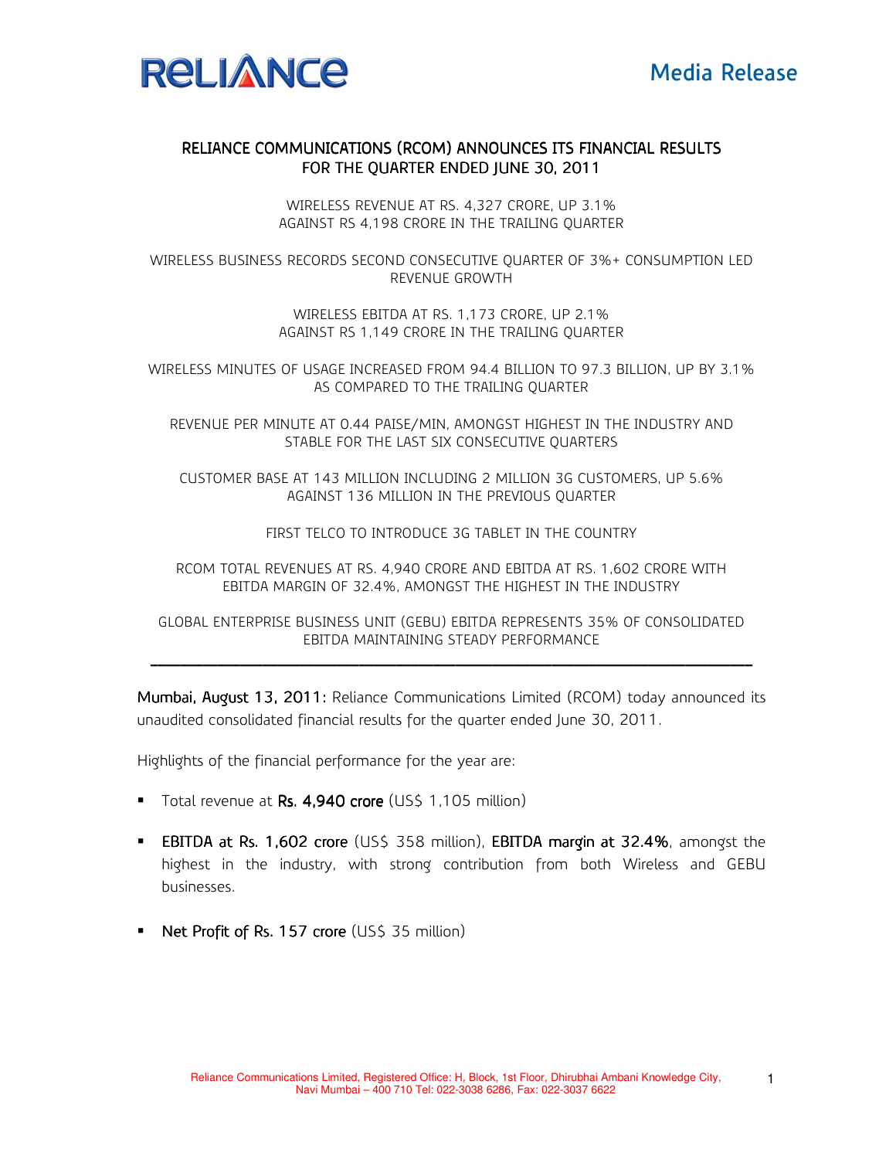

## RELIANCE COMMUNICATIONS (RCOM) ANNOUNCES ITS FINANCIAL RESULTS FOR THE QUARTER ENDED JUNE 30, 2011

WIRELESS REVENUE AT RS. 4,327 CRORE, UP 3.1% AGAINST RS 4,198 CRORE IN THE TRAILING QUARTER

WIRELESS BUSINESS RECORDS SECOND CONSECUTIVE QUARTER OF 3%+ CONSUMPTION LED REVENUE GROWTH

> WIRELESS EBITDA AT RS. 1,173 CRORE, UP 2.1% AGAINST RS 1,149 CRORE IN THE TRAILING QUARTER

WIRELESS MINUTES OF USAGE INCREASED FROM 94.4 BILLION TO 97.3 BILLION, UP BY 3.1% AS COMPARED TO THE TRAILING QUARTER

REVENUE PER MINUTE AT 0.44 PAISE/MIN, AMONGST HIGHEST IN THE INDUSTRY AND STABLE FOR THE LAST SIX CONSECUTIVE QUARTERS

CUSTOMER BASE AT 143 MILLION INCLUDING 2 MILLION 3G CUSTOMERS, UP 5.6% AGAINST 136 MILLION IN THE PREVIOUS QUARTER

FIRST TELCO TO INTRODUCE 3G TABLET IN THE COUNTRY

RCOM TOTAL REVENUES AT RS. 4,940 CRORE AND EBITDA AT RS. 1,602 CRORE WITH EBITDA MARGIN OF 32.4%, AMONGST THE HIGHEST IN THE INDUSTRY

GLOBAL ENTERPRISE BUSINESS UNIT (GEBU) EBITDA REPRESENTS 35% OF CONSOLIDATED EBITDA MAINTAINING STEADY PERFORMANCE \_\_\_\_\_\_\_\_\_\_\_\_\_\_\_\_\_\_\_\_\_\_\_\_\_\_\_\_\_\_\_ \_\_\_\_\_\_\_\_\_\_\_\_\_\_\_\_\_\_\_\_\_\_\_\_\_\_\_\_\_\_\_\_\_\_\_\_\_\_\_\_\_\_\_\_\_\_\_\_\_\_\_\_\_\_\_\_\_\_\_\_ \_\_\_\_\_\_\_\_\_\_\_\_\_\_\_\_\_\_\_\_\_\_\_\_\_\_\_\_\_ \_\_\_\_\_\_\_\_\_\_\_\_\_\_\_\_\_\_\_\_\_\_\_\_\_\_\_\_\_\_\_\_\_\_\_\_\_\_\_\_ \_\_\_\_\_\_\_\_\_\_\_ \_\_\_\_\_\_\_\_\_\_\_\_\_\_\_\_\_\_\_\_\_ \_\_\_\_\_\_\_\_\_\_ \_\_\_\_\_\_\_\_\_\_

Mumbai, August 13, 2011: Reliance Communications Limited (RCOM) today announced its unaudited consolidated financial results for the quarter ended June 30, 2011.

Highlights of the financial performance for the year are:

- Total revenue at Rs. 4,940 crore (US\$ 1,105 million)
- **EBITDA at Rs. 1,602 crore** (US\$ 358 million), **EBITDA margin at 32.4%**, amongst the highest in the industry, with strong contribution from both Wireless and GEBU businesses.
- Net Profit of Rs. 157 crore (US\$ 35 million)

1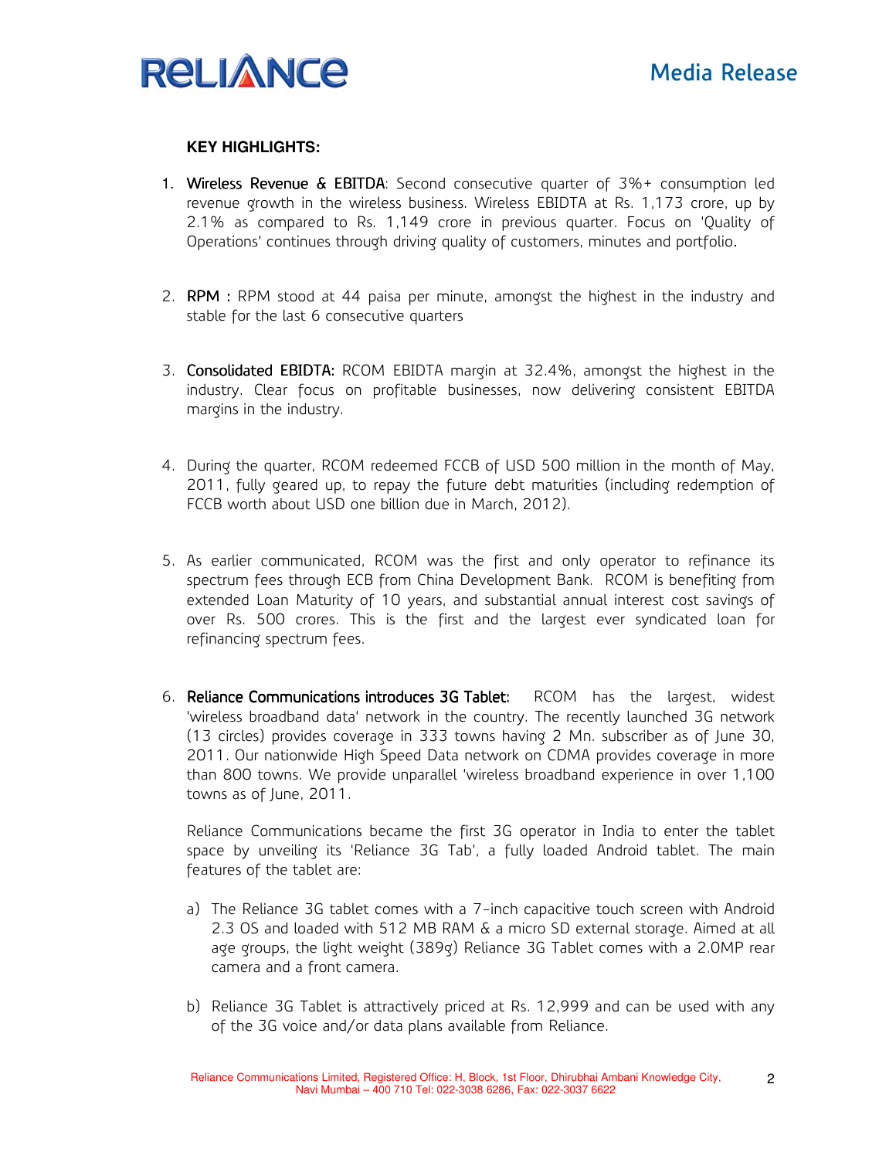

## **KEY HIGHLIGHTS:**

- 1. Wireless Revenue & EBITDA: Second consecutive quarter of  $3\%$ + consumption led revenue growth in the wireless business. Wireless EBIDTA at Rs. 1,173 crore, up by 2.1% as compared to Rs. 1,149 crore in previous quarter. Focus on 'Quality of Operations' continues through driving quality of customers, minutes and portfolio.
- 2. **RPM** : RPM stood at 44 paisa per minute, amongst the highest in the industry and stable for the last 6 consecutive quarters
- 3. **Consolidated EBIDTA:** RCOM EBIDTA margin at 32.4%, amongst the highest in the industry. Clear focus on profitable businesses, now delivering consistent EBITDA margins in the industry.
- 4. During the quarter, RCOM redeemed FCCB of USD 500 million in the month of May, 2011, fully geared up, to repay the future debt maturities (including redemption of FCCB worth about USD one billion due in March, 2012).
- 5. As earlier communicated, RCOM was the first and only operator to refinance its spectrum fees through ECB from China Development Bank. RCOM is benefiting from extended Loan Maturity of 10 years, and substantial annual interest cost savings of over Rs. 500 crores. This is the first and the largest ever syndicated loan for refinancing spectrum fees.
- 6. Reliance Communications introduces 3G Tablet: RCOM has the largest, widest 'wireless broadband data' network in the country. The recently launched 3G network (13 circles) provides coverage in 333 towns having 2 Mn. subscriber as of June 30, 2011. Our nationwide High Speed Data network on CDMA provides coverage in more than 800 towns. We provide unparallel 'wireless broadband experience in over 1,100 towns as of June, 2011.

Reliance Communications became the first 3G operator in India to enter the tablet space by unveiling its 'Reliance 3G Tab', a fully loaded Android tablet. The main features of the tablet are:

- a) The Reliance 3G tablet comes with a 7-inch capacitive touch screen with Android 2.3 OS and loaded with 512 MB RAM & a micro SD external storage. Aimed at all age groups, the light weight (389g) Reliance 3G Tablet comes with a 2.0MP rear camera and a front camera.
- b) Reliance 3G Tablet is attractively priced at Rs. 12,999 and can be used with any of the 3G voice and/or data plans available from Reliance.

2